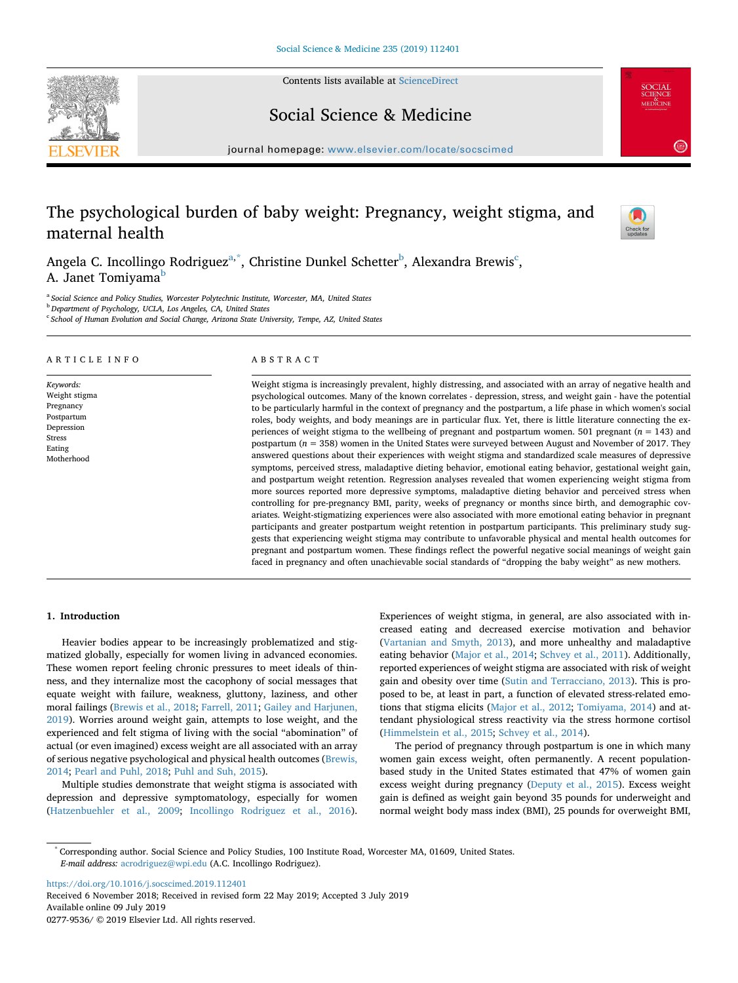Contents lists available at [ScienceDirect](http://www.sciencedirect.com/science/journal/02779536)





## Social Science & Medicine

journal homepage: [www.elsevier.com/locate/socscimed](https://www.elsevier.com/locate/socscimed)

# The psychological burden of baby weight: Pregnancy, weight stigma, and maternal health



Angela C. Incollingo Rodriguez<sup>a,[\\*](#page-0-1)</sup>, Christine Dunkel Schetter<sup>[b](#page-0-2)</sup>, Alexandra Brewis<sup>c</sup>, A. Janet Tomiyama<sup>[b](#page-0-2)</sup>

<span id="page-0-0"></span><sup>a</sup> *Social Science and Policy Studies, Worcester Polytechnic Institute, Worcester, MA, United States*

<span id="page-0-2"></span><sup>b</sup> *Department of Psychology, UCLA, Los Angeles, CA, United States*

<span id="page-0-3"></span><sup>c</sup> *School of Human Evolution and Social Change, Arizona State University, Tempe, AZ, United States*

# *Keywords:*

Weight stigma Pregnancy Postpartum Depression Stress Eating Motherhood

ARTICLE INFO

#### ABSTRACT

Weight stigma is increasingly prevalent, highly distressing, and associated with an array of negative health and psychological outcomes. Many of the known correlates - depression, stress, and weight gain - have the potential to be particularly harmful in the context of pregnancy and the postpartum, a life phase in which women's social roles, body weights, and body meanings are in particular flux. Yet, there is little literature connecting the experiences of weight stigma to the wellbeing of pregnant and postpartum women. 501 pregnant (*n* = 143) and postpartum (*n* = 358) women in the United States were surveyed between August and November of 2017. They answered questions about their experiences with weight stigma and standardized scale measures of depressive symptoms, perceived stress, maladaptive dieting behavior, emotional eating behavior, gestational weight gain, and postpartum weight retention. Regression analyses revealed that women experiencing weight stigma from more sources reported more depressive symptoms, maladaptive dieting behavior and perceived stress when controlling for pre-pregnancy BMI, parity, weeks of pregnancy or months since birth, and demographic covariates. Weight-stigmatizing experiences were also associated with more emotional eating behavior in pregnant participants and greater postpartum weight retention in postpartum participants. This preliminary study suggests that experiencing weight stigma may contribute to unfavorable physical and mental health outcomes for pregnant and postpartum women. These findings reflect the powerful negative social meanings of weight gain faced in pregnancy and often unachievable social standards of "dropping the baby weight" as new mothers.

#### **1. Introduction**

Heavier bodies appear to be increasingly problematized and stigmatized globally, especially for women living in advanced economies. These women report feeling chronic pressures to meet ideals of thinness, and they internalize most the cacophony of social messages that equate weight with failure, weakness, gluttony, laziness, and other moral failings ([Brewis et al., 2018](#page-8-0); [Farrell, 2011;](#page-8-1) [Gailey and Harjunen,](#page-8-2) [2019\)](#page-8-2). Worries around weight gain, attempts to lose weight, and the experienced and felt stigma of living with the social "abomination" of actual (or even imagined) excess weight are all associated with an array of serious negative psychological and physical health outcomes ([Brewis,](#page-8-3) [2014;](#page-8-3) [Pearl and Puhl, 2018;](#page-9-0) [Puhl and Suh, 2015](#page-9-1)).

Multiple studies demonstrate that weight stigma is associated with depression and depressive symptomatology, especially for women ([Hatzenbuehler et al., 2009](#page-8-4); [Incollingo Rodriguez et al., 2016](#page-8-5)).

Experiences of weight stigma, in general, are also associated with increased eating and decreased exercise motivation and behavior ([Vartanian and Smyth, 2013\)](#page-9-2), and more unhealthy and maladaptive eating behavior [\(Major et al., 2014](#page-9-3); [Schvey et al., 2011\)](#page-9-4). Additionally, reported experiences of weight stigma are associated with risk of weight gain and obesity over time ([Sutin and Terracciano, 2013](#page-9-5)). This is proposed to be, at least in part, a function of elevated stress-related emotions that stigma elicits [\(Major et al., 2012](#page-9-6); [Tomiyama, 2014\)](#page-9-7) and attendant physiological stress reactivity via the stress hormone cortisol ([Himmelstein et al., 2015;](#page-8-6) [Schvey et al., 2014\)](#page-9-8).

The period of pregnancy through postpartum is one in which many women gain excess weight, often permanently. A recent populationbased study in the United States estimated that 47% of women gain excess weight during pregnancy ([Deputy et al., 2015](#page-8-7)). Excess weight gain is defined as weight gain beyond 35 pounds for underweight and normal weight body mass index (BMI), 25 pounds for overweight BMI,

<https://doi.org/10.1016/j.socscimed.2019.112401>

Received 6 November 2018; Received in revised form 22 May 2019; Accepted 3 July 2019 Available online 09 July 2019 0277-9536/ © 2019 Elsevier Ltd. All rights reserved.

<span id="page-0-1"></span><sup>\*</sup> Corresponding author. Social Science and Policy Studies, 100 Institute Road, Worcester MA, 01609, United States. *E-mail address:* [acrodriguez@wpi.edu](mailto:acrodriguez@wpi.edu) (A.C. Incollingo Rodriguez).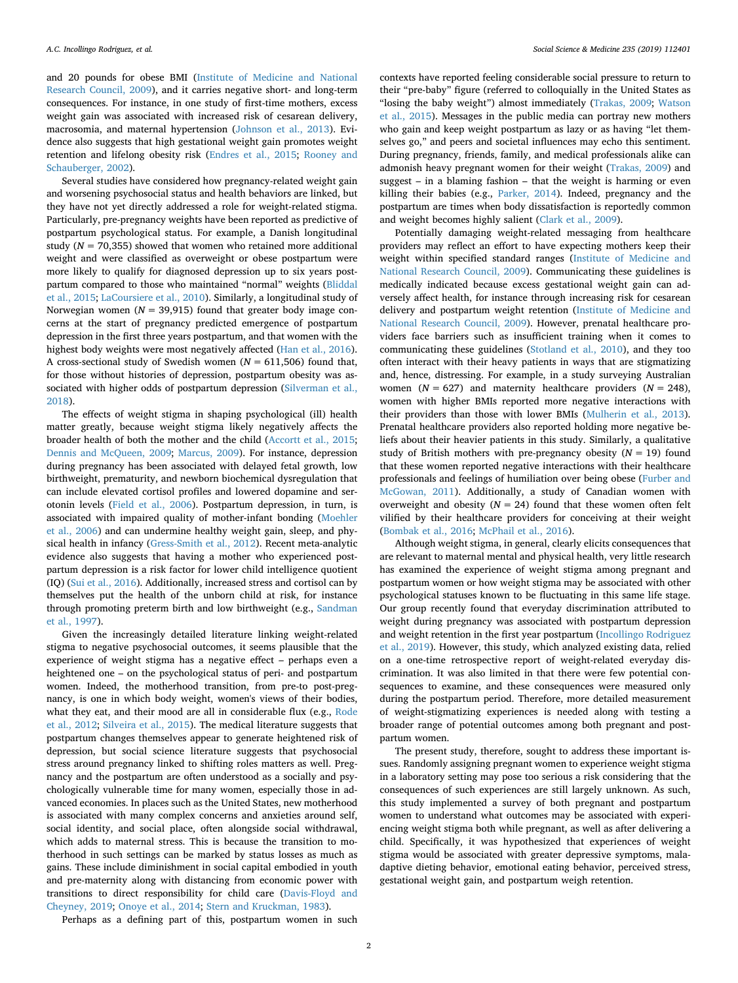and 20 pounds for obese BMI [\(Institute of Medicine and National](#page-8-8) [Research Council, 2009](#page-8-8)), and it carries negative short- and long-term consequences. For instance, in one study of first-time mothers, excess weight gain was associated with increased risk of cesarean delivery, macrosomia, and maternal hypertension [\(Johnson et al., 2013\)](#page-8-9). Evidence also suggests that high gestational weight gain promotes weight retention and lifelong obesity risk [\(Endres et al., 2015](#page-8-10); [Rooney and](#page-9-9) [Schauberger, 2002](#page-9-9)).

Several studies have considered how pregnancy-related weight gain and worsening psychosocial status and health behaviors are linked, but they have not yet directly addressed a role for weight-related stigma. Particularly, pre-pregnancy weights have been reported as predictive of postpartum psychological status. For example, a Danish longitudinal study ( $N = 70,355$ ) showed that women who retained more additional weight and were classified as overweight or obese postpartum were more likely to qualify for diagnosed depression up to six years postpartum compared to those who maintained "normal" weights ([Bliddal](#page-8-11) [et al., 2015](#page-8-11); [LaCoursiere et al., 2010](#page-8-12)). Similarly, a longitudinal study of Norwegian women  $(N = 39,915)$  found that greater body image concerns at the start of pregnancy predicted emergence of postpartum depression in the first three years postpartum, and that women with the highest body weights were most negatively affected [\(Han et al., 2016](#page-8-13)). A cross-sectional study of Swedish women (*N* = 611,506) found that, for those without histories of depression, postpartum obesity was associated with higher odds of postpartum depression ([Silverman et al.,](#page-9-10) [2018\)](#page-9-10).

The effects of weight stigma in shaping psychological (ill) health matter greatly, because weight stigma likely negatively affects the broader health of both the mother and the child ([Accortt et al., 2015](#page-8-14); [Dennis and McQueen, 2009](#page-8-15); [Marcus, 2009\)](#page-9-11). For instance, depression during pregnancy has been associated with delayed fetal growth, low birthweight, prematurity, and newborn biochemical dysregulation that can include elevated cortisol profiles and lowered dopamine and serotonin levels ([Field et al., 2006\)](#page-8-16). Postpartum depression, in turn, is associated with impaired quality of mother-infant bonding [\(Moehler](#page-9-12) [et al., 2006\)](#page-9-12) and can undermine healthy weight gain, sleep, and physical health in infancy [\(Gress-Smith et al., 2012](#page-8-17)). Recent meta-analytic evidence also suggests that having a mother who experienced postpartum depression is a risk factor for lower child intelligence quotient (IQ) [\(Sui et al., 2016](#page-9-13)). Additionally, increased stress and cortisol can by themselves put the health of the unborn child at risk, for instance through promoting preterm birth and low birthweight (e.g., [Sandman](#page-9-14) [et al., 1997](#page-9-14)).

Given the increasingly detailed literature linking weight-related stigma to negative psychosocial outcomes, it seems plausible that the experience of weight stigma has a negative effect – perhaps even a heightened one – on the psychological status of peri- and postpartum women. Indeed, the motherhood transition, from pre-to post-pregnancy, is one in which body weight, women's views of their bodies, what they eat, and their mood are all in considerable flux (e.g., [Rode](#page-9-15) [et al., 2012](#page-9-15); [Silveira et al., 2015](#page-9-16)). The medical literature suggests that postpartum changes themselves appear to generate heightened risk of depression, but social science literature suggests that psychosocial stress around pregnancy linked to shifting roles matters as well. Pregnancy and the postpartum are often understood as a socially and psychologically vulnerable time for many women, especially those in advanced economies. In places such as the United States, new motherhood is associated with many complex concerns and anxieties around self, social identity, and social place, often alongside social withdrawal, which adds to maternal stress. This is because the transition to motherhood in such settings can be marked by status losses as much as gains. These include diminishment in social capital embodied in youth and pre-maternity along with distancing from economic power with transitions to direct responsibility for child care [\(Davis-Floyd and](#page-8-18) [Cheyney, 2019;](#page-8-18) [Onoye et al., 2014;](#page-9-17) [Stern and Kruckman, 1983](#page-9-18)).

contexts have reported feeling considerable social pressure to return to their "pre-baby" figure (referred to colloquially in the United States as "losing the baby weight") almost immediately [\(Trakas, 2009](#page-9-19); [Watson](#page-9-20) [et al., 2015](#page-9-20)). Messages in the public media can portray new mothers who gain and keep weight postpartum as lazy or as having "let themselves go," and peers and societal influences may echo this sentiment. During pregnancy, friends, family, and medical professionals alike can admonish heavy pregnant women for their weight [\(Trakas, 2009\)](#page-9-19) and suggest – in a blaming fashion – that the weight is harming or even killing their babies (e.g., [Parker, 2014](#page-9-21)). Indeed, pregnancy and the postpartum are times when body dissatisfaction is reportedly common and weight becomes highly salient ([Clark et al., 2009\)](#page-8-19).

Potentially damaging weight-related messaging from healthcare providers may reflect an effort to have expecting mothers keep their weight within specified standard ranges ([Institute of Medicine and](#page-8-8) [National Research Council, 2009\)](#page-8-8). Communicating these guidelines is medically indicated because excess gestational weight gain can adversely affect health, for instance through increasing risk for cesarean delivery and postpartum weight retention [\(Institute of Medicine and](#page-8-8) [National Research Council, 2009](#page-8-8)). However, prenatal healthcare providers face barriers such as insufficient training when it comes to communicating these guidelines [\(Stotland et al., 2010\)](#page-9-22), and they too often interact with their heavy patients in ways that are stigmatizing and, hence, distressing. For example, in a study surveying Australian women  $(N = 627)$  and maternity healthcare providers  $(N = 248)$ , women with higher BMIs reported more negative interactions with their providers than those with lower BMIs [\(Mulherin et al., 2013](#page-9-23)). Prenatal healthcare providers also reported holding more negative beliefs about their heavier patients in this study. Similarly, a qualitative study of British mothers with pre-pregnancy obesity  $(N = 19)$  found that these women reported negative interactions with their healthcare professionals and feelings of humiliation over being obese ([Furber and](#page-8-20) [McGowan, 2011](#page-8-20)). Additionally, a study of Canadian women with overweight and obesity  $(N = 24)$  found that these women often felt vilified by their healthcare providers for conceiving at their weight ([Bombak et al., 2016;](#page-8-21) [McPhail et al., 2016\)](#page-9-24).

Although weight stigma, in general, clearly elicits consequences that are relevant to maternal mental and physical health, very little research has examined the experience of weight stigma among pregnant and postpartum women or how weight stigma may be associated with other psychological statuses known to be fluctuating in this same life stage. Our group recently found that everyday discrimination attributed to weight during pregnancy was associated with postpartum depression and weight retention in the first year postpartum [\(Incollingo Rodriguez](#page-8-22) [et al., 2019\)](#page-8-22). However, this study, which analyzed existing data, relied on a one-time retrospective report of weight-related everyday discrimination. It was also limited in that there were few potential consequences to examine, and these consequences were measured only during the postpartum period. Therefore, more detailed measurement of weight-stigmatizing experiences is needed along with testing a broader range of potential outcomes among both pregnant and postpartum women.

The present study, therefore, sought to address these important issues. Randomly assigning pregnant women to experience weight stigma in a laboratory setting may pose too serious a risk considering that the consequences of such experiences are still largely unknown. As such, this study implemented a survey of both pregnant and postpartum women to understand what outcomes may be associated with experiencing weight stigma both while pregnant, as well as after delivering a child. Specifically, it was hypothesized that experiences of weight stigma would be associated with greater depressive symptoms, maladaptive dieting behavior, emotional eating behavior, perceived stress, gestational weight gain, and postpartum weigh retention.

Perhaps as a defining part of this, postpartum women in such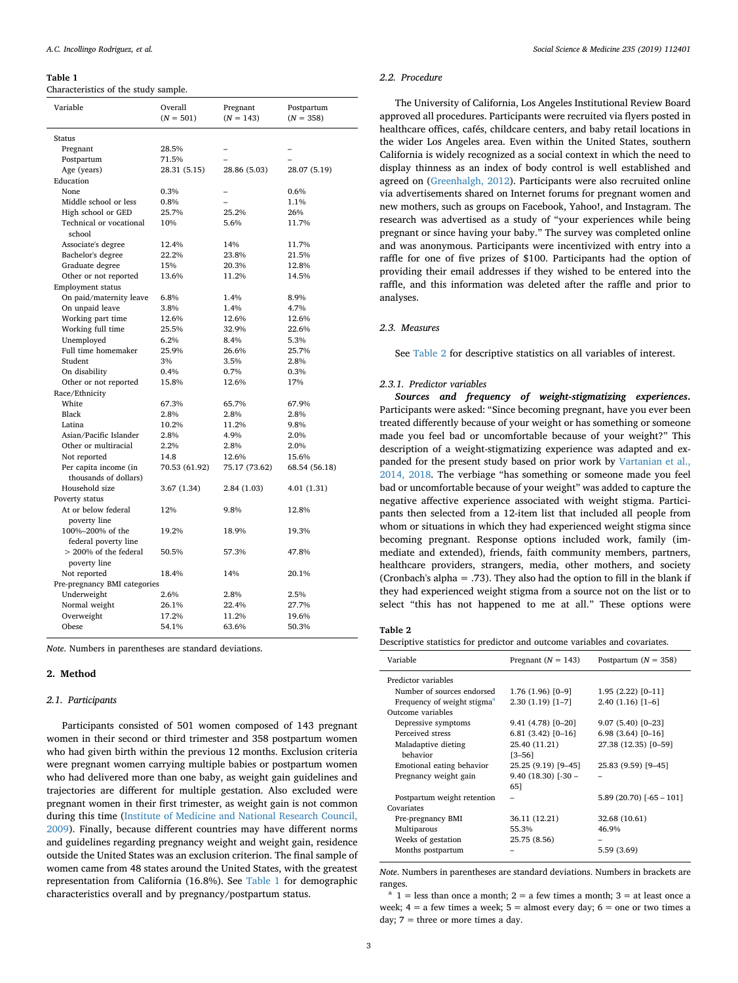#### <span id="page-2-0"></span>**Table 1**

Characteristics of the study sample.

| Variable                                       | Overall<br>$(N = 501)$ | Pregnant<br>$(N = 143)$ | Postpartum<br>$(N = 358)$ |
|------------------------------------------------|------------------------|-------------------------|---------------------------|
|                                                |                        |                         |                           |
| Status                                         |                        |                         |                           |
| Pregnant                                       | 28.5%                  |                         |                           |
| Postpartum                                     | 71.5%                  |                         |                           |
| Age (years)                                    | 28.31 (5.15)           | 28.86 (5.03)            | 28.07 (5.19)              |
| Education                                      |                        |                         |                           |
| <b>None</b>                                    | 0.3%                   |                         | 0.6%                      |
| Middle school or less                          | 0.8%                   |                         | 1.1%                      |
| High school or GED                             | 25.7%                  | 25.2%                   | 26%                       |
| Technical or vocational<br>school              | 10%                    | 5.6%                    | 11.7%                     |
| Associate's degree                             | 12.4%                  | 14%                     | 11.7%                     |
| Bachelor's degree                              | 22.2%                  | 23.8%                   | 21.5%                     |
| Graduate degree                                | 15%                    | 20.3%                   | 12.8%                     |
| Other or not reported                          | 13.6%                  | 11.2%                   | 14.5%                     |
| <b>Employment status</b>                       |                        |                         |                           |
| On paid/maternity leave                        | 6.8%                   | 1.4%                    | 8.9%                      |
| On unpaid leave                                | 3.8%                   | 1.4%                    | 4.7%                      |
| Working part time                              | 12.6%                  | 12.6%                   | 12.6%                     |
| Working full time                              | 25.5%                  | 32.9%                   | 22.6%                     |
| Unemployed                                     | 6.2%                   | 8.4%                    | 5.3%                      |
| Full time homemaker                            | 25.9%                  | 26.6%                   | 25.7%                     |
| Student                                        | 3%                     | 3.5%                    | 2.8%                      |
| On disability                                  | 0.4%                   | 0.7%                    | 0.3%                      |
| Other or not reported                          | 15.8%                  | 12.6%                   | 17%                       |
| Race/Ethnicity                                 |                        |                         |                           |
| White                                          | 67.3%                  | 65.7%                   | 67.9%                     |
| Black                                          | 2.8%                   | 2.8%                    | 2.8%                      |
| Latina                                         | 10.2%                  | 11.2%                   | 9.8%                      |
| Asian/Pacific Islander                         | 2.8%                   | 4.9%                    | 2.0%                      |
| Other or multiracial                           | 2.2%                   | 2.8%                    | 2.0%                      |
| Not reported                                   | 14.8                   | 12.6%                   | 15.6%                     |
| Per capita income (in<br>thousands of dollars) | 70.53 (61.92)          | 75.17 (73.62)           | 68.54 (56.18)             |
| Household size                                 | 3.67 (1.34)            | 2.84 (1.03)             | 4.01(1.31)                |
| Poverty status                                 |                        |                         |                           |
| At or below federal<br>poverty line            | 12%                    | 9.8%                    | 12.8%                     |
| 100%-200% of the<br>federal poverty line       | 19.2%                  | 18.9%                   | 19.3%                     |
| > 200% of the federal<br>poverty line          | 50.5%                  | 57.3%                   | 47.8%                     |
| Not reported                                   | 18.4%                  | 14%                     | 20.1%                     |
| Pre-pregnancy BMI categories                   |                        |                         |                           |
| Underweight                                    | 2.6%                   | 2.8%                    | 2.5%                      |
| Normal weight                                  | 26.1%                  | 22.4%                   | 27.7%                     |
| Overweight                                     | 17.2%                  | 11.2%                   | 19.6%                     |
| Obese                                          | 54.1%                  | 63.6%                   | 50.3%                     |
|                                                |                        |                         |                           |

*Note*. Numbers in parentheses are standard deviations.

#### **2. Method**

#### *2.1. Participants*

Participants consisted of 501 women composed of 143 pregnant women in their second or third trimester and 358 postpartum women who had given birth within the previous 12 months. Exclusion criteria were pregnant women carrying multiple babies or postpartum women who had delivered more than one baby, as weight gain guidelines and trajectories are different for multiple gestation. Also excluded were pregnant women in their first trimester, as weight gain is not common during this time [\(Institute of Medicine and National Research Council,](#page-8-8) [2009\)](#page-8-8). Finally, because different countries may have different norms and guidelines regarding pregnancy weight and weight gain, residence outside the United States was an exclusion criterion. The final sample of women came from 48 states around the United States, with the greatest representation from California (16.8%). See [Table 1](#page-2-0) for demographic characteristics overall and by pregnancy/postpartum status.

#### *2.2. Procedure*

The University of California, Los Angeles Institutional Review Board approved all procedures. Participants were recruited via flyers posted in healthcare offices, cafés, childcare centers, and baby retail locations in the wider Los Angeles area. Even within the United States, southern California is widely recognized as a social context in which the need to display thinness as an index of body control is well established and agreed on ([Greenhalgh, 2012](#page-8-23)). Participants were also recruited online via advertisements shared on Internet forums for pregnant women and new mothers, such as groups on Facebook, Yahoo!, and Instagram. The research was advertised as a study of "your experiences while being pregnant or since having your baby." The survey was completed online and was anonymous. Participants were incentivized with entry into a raffle for one of five prizes of \$100. Participants had the option of providing their email addresses if they wished to be entered into the raffle, and this information was deleted after the raffle and prior to analyses.

#### *2.3. Measures*

See [Table 2](#page-2-1) for descriptive statistics on all variables of interest.

#### *2.3.1. Predictor variables*

*Sources and frequency of weight-stigmatizing experiences***.** Participants were asked: "Since becoming pregnant, have you ever been treated differently because of your weight or has something or someone made you feel bad or uncomfortable because of your weight?" This description of a weight-stigmatizing experience was adapted and expanded for the present study based on prior work by [Vartanian et al.,](#page-9-25) [2014, 2018.](#page-9-25) The verbiage "has something or someone made you feel bad or uncomfortable because of your weight" was added to capture the negative affective experience associated with weight stigma. Participants then selected from a 12-item list that included all people from whom or situations in which they had experienced weight stigma since becoming pregnant. Response options included work, family (immediate and extended), friends, faith community members, partners, healthcare providers, strangers, media, other mothers, and society (Cronbach's alpha = .73). They also had the option to fill in the blank if they had experienced weight stigma from a source not on the list or to select "this has not happened to me at all." These options were

#### <span id="page-2-1"></span>**Table 2**

Descriptive statistics for predictor and outcome variables and covariates.

| Variable                                | Pregnant ( $N = 143$ ) | Postpartum $(N = 358)$    |
|-----------------------------------------|------------------------|---------------------------|
| Predictor variables                     |                        |                           |
| Number of sources endorsed              | $1.76(1.96)[0-9]$      | $1.95(2.22)[0-11]$        |
| Frequency of weight stigma <sup>a</sup> | $2.30(1.19)$ [1-7]     | $2.40(1.16)[1-6]$         |
| Outcome variables                       |                        |                           |
| Depressive symptoms                     | $9.41(4.78)[0-20]$     | $9.07(5.40)[0-23]$        |
| Perceived stress                        | $6.81(3.42)[0-16]$     | $6.98(3.64)[0-16]$        |
| Maladaptive dieting                     | 25.40 (11.21)          | 27.38 (12.35) [0-59]      |
| behavior                                | $[3 - 56]$             |                           |
| Emotional eating behavior               | 25.25 (9.19) [9-45]    | 25.83 (9.59) [9-45]       |
| Pregnancy weight gain                   | $9.40(18.30)$ [-30 -   |                           |
|                                         | 651                    |                           |
| Postpartum weight retention             |                        | $5.89(20.70)$ [-65 - 101] |
| Covariates                              |                        |                           |
| Pre-pregnancy BMI                       | 36.11 (12.21)          | 32.68 (10.61)             |
| Multiparous                             | 55.3%                  | 46.9%                     |
| Weeks of gestation                      | 25.75 (8.56)           |                           |
| Months postpartum                       |                        | 5.59 (3.69)               |
|                                         |                        |                           |

*Note*. Numbers in parentheses are standard deviations. Numbers in brackets are ranges.

<span id="page-2-2"></span><sup>a</sup> 1 = less than once a month; 2 = a few times a month; 3 = at least once a week;  $4 = a$  few times a week;  $5 =$  almost every day;  $6 =$  one or two times a day; 7 = three or more times a day.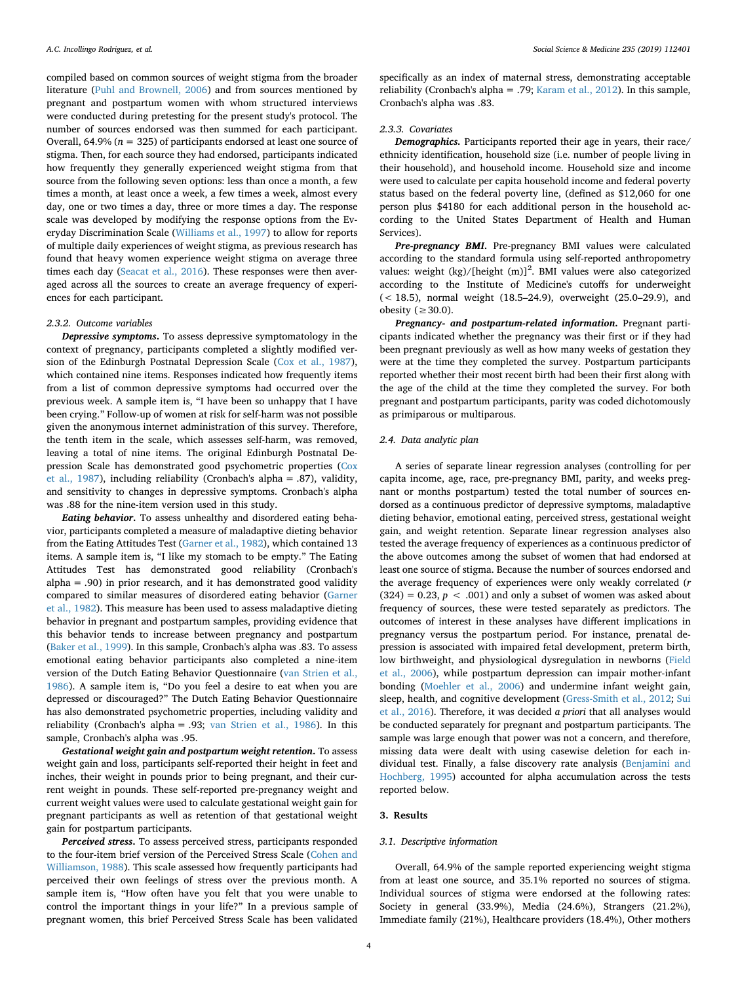compiled based on common sources of weight stigma from the broader literature ([Puhl and Brownell, 2006](#page-9-26)) and from sources mentioned by pregnant and postpartum women with whom structured interviews were conducted during pretesting for the present study's protocol. The number of sources endorsed was then summed for each participant. Overall, 64.9% (*n* = 325) of participants endorsed at least one source of stigma. Then, for each source they had endorsed, participants indicated how frequently they generally experienced weight stigma from that source from the following seven options: less than once a month, a few times a month, at least once a week, a few times a week, almost every day, one or two times a day, three or more times a day. The response scale was developed by modifying the response options from the Everyday Discrimination Scale ([Williams et al., 1997](#page-9-27)) to allow for reports of multiple daily experiences of weight stigma, as previous research has found that heavy women experience weight stigma on average three times each day [\(Seacat et al., 2016](#page-9-28)). These responses were then averaged across all the sources to create an average frequency of experiences for each participant.

#### *2.3.2. Outcome variables*

*Depressive symptoms***.** To assess depressive symptomatology in the context of pregnancy, participants completed a slightly modified version of the Edinburgh Postnatal Depression Scale [\(Cox et al., 1987](#page-8-24)), which contained nine items. Responses indicated how frequently items from a list of common depressive symptoms had occurred over the previous week. A sample item is, "I have been so unhappy that I have been crying." Follow-up of women at risk for self-harm was not possible given the anonymous internet administration of this survey. Therefore, the tenth item in the scale, which assesses self-harm, was removed, leaving a total of nine items. The original Edinburgh Postnatal Depression Scale has demonstrated good psychometric properties [\(Cox](#page-8-24) [et al., 1987](#page-8-24)), including reliability (Cronbach's alpha = .87), validity, and sensitivity to changes in depressive symptoms. Cronbach's alpha was .88 for the nine-item version used in this study.

*Eating behavior***.** To assess unhealthy and disordered eating behavior, participants completed a measure of maladaptive dieting behavior from the Eating Attitudes Test [\(Garner et al., 1982\)](#page-8-25), which contained 13 items. A sample item is, "I like my stomach to be empty." The Eating Attitudes Test has demonstrated good reliability (Cronbach's  $alpha = .90$ ) in prior research, and it has demonstrated good validity compared to similar measures of disordered eating behavior [\(Garner](#page-8-25) [et al., 1982\)](#page-8-25). This measure has been used to assess maladaptive dieting behavior in pregnant and postpartum samples, providing evidence that this behavior tends to increase between pregnancy and postpartum ([Baker et al., 1999\)](#page-8-26). In this sample, Cronbach's alpha was .83. To assess emotional eating behavior participants also completed a nine-item version of the Dutch Eating Behavior Questionnaire ([van Strien et al.,](#page-9-29) [1986\)](#page-9-29). A sample item is, "Do you feel a desire to eat when you are depressed or discouraged?" The Dutch Eating Behavior Questionnaire has also demonstrated psychometric properties, including validity and reliability (Cronbach's alpha = .93; [van Strien et al., 1986](#page-9-29)). In this sample, Cronbach's alpha was .95.

*Gestational weight gain and postpartum weight retention***.** To assess weight gain and loss, participants self-reported their height in feet and inches, their weight in pounds prior to being pregnant, and their current weight in pounds. These self-reported pre-pregnancy weight and current weight values were used to calculate gestational weight gain for pregnant participants as well as retention of that gestational weight gain for postpartum participants.

*Perceived stress***.** To assess perceived stress, participants responded to the four-item brief version of the Perceived Stress Scale ([Cohen and](#page-8-27) [Williamson, 1988\)](#page-8-27). This scale assessed how frequently participants had perceived their own feelings of stress over the previous month. A sample item is, "How often have you felt that you were unable to control the important things in your life?" In a previous sample of pregnant women, this brief Perceived Stress Scale has been validated specifically as an index of maternal stress, demonstrating acceptable reliability (Cronbach's alpha = .79; [Karam et al., 2012\)](#page-8-28). In this sample, Cronbach's alpha was .83.

#### *2.3.3. Covariates*

*Demographics.* Participants reported their age in years, their race/ ethnicity identification, household size (i.e. number of people living in their household), and household income. Household size and income were used to calculate per capita household income and federal poverty status based on the federal poverty line, (defined as \$12,060 for one person plus \$4180 for each additional person in the household according to the United States Department of Health and Human Services).

*Pre-pregnancy BMI***.** Pre-pregnancy BMI values were calculated according to the standard formula using self-reported anthropometry values: weight  $(kg)/[height (m)]^2$ . BMI values were also categorized according to the Institute of Medicine's cutoffs for underweight (< 18.5), normal weight (18.5–24.9), overweight (25.0–29.9), and obesity ( $\geq 30.0$ ).

*Pregnancy- and postpartum-related information***.** Pregnant participants indicated whether the pregnancy was their first or if they had been pregnant previously as well as how many weeks of gestation they were at the time they completed the survey. Postpartum participants reported whether their most recent birth had been their first along with the age of the child at the time they completed the survey. For both pregnant and postpartum participants, parity was coded dichotomously as primiparous or multiparous.

#### *2.4. Data analytic plan*

A series of separate linear regression analyses (controlling for per capita income, age, race, pre-pregnancy BMI, parity, and weeks pregnant or months postpartum) tested the total number of sources endorsed as a continuous predictor of depressive symptoms, maladaptive dieting behavior, emotional eating, perceived stress, gestational weight gain, and weight retention. Separate linear regression analyses also tested the average frequency of experiences as a continuous predictor of the above outcomes among the subset of women that had endorsed at least one source of stigma. Because the number of sources endorsed and the average frequency of experiences were only weakly correlated (*r*  $(324) = 0.23$ ,  $p < .001$ ) and only a subset of women was asked about frequency of sources, these were tested separately as predictors. The outcomes of interest in these analyses have different implications in pregnancy versus the postpartum period. For instance, prenatal depression is associated with impaired fetal development, preterm birth, low birthweight, and physiological dysregulation in newborns [\(Field](#page-8-16) [et al., 2006](#page-8-16)), while postpartum depression can impair mother-infant bonding ([Moehler et al., 2006](#page-9-12)) and undermine infant weight gain, sleep, health, and cognitive development [\(Gress-Smith et al., 2012;](#page-8-17) [Sui](#page-9-13) [et al., 2016](#page-9-13)). Therefore, it was decided *a priori* that all analyses would be conducted separately for pregnant and postpartum participants. The sample was large enough that power was not a concern, and therefore, missing data were dealt with using casewise deletion for each individual test. Finally, a false discovery rate analysis [\(Benjamini and](#page-8-29) [Hochberg, 1995\)](#page-8-29) accounted for alpha accumulation across the tests reported below.

#### **3. Results**

#### *3.1. Descriptive information*

Overall, 64.9% of the sample reported experiencing weight stigma from at least one source, and 35.1% reported no sources of stigma. Individual sources of stigma were endorsed at the following rates: Society in general (33.9%), Media (24.6%), Strangers (21.2%), Immediate family (21%), Healthcare providers (18.4%), Other mothers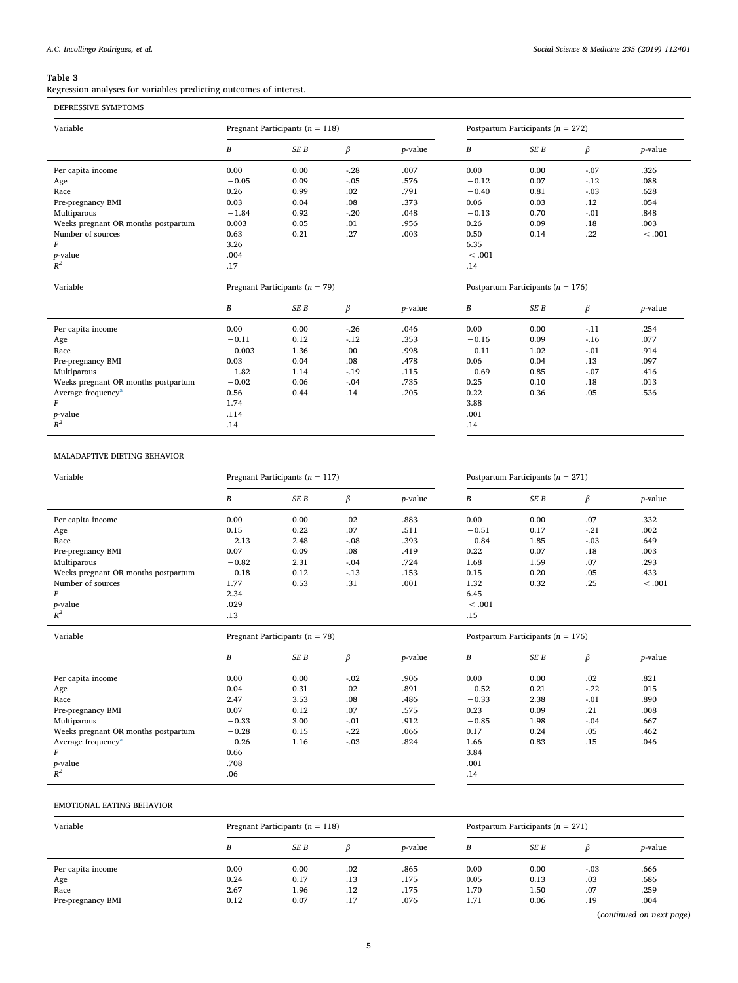#### <span id="page-4-0"></span>**Table 3**

Regression analyses for variables predicting outcomes of interest.

| Variable                            |          | Pregnant Participants ( $n = 118$ ) |         |                 | Postpartum Participants ( $n = 272$ ) |      |        |                 |
|-------------------------------------|----------|-------------------------------------|---------|-----------------|---------------------------------------|------|--------|-----------------|
|                                     | B        | SE B                                | β       | <i>p</i> -value | В                                     | SE B | β      | <i>p</i> -value |
| Per capita income                   | 0.00     | 0.00                                | $-.28$  | .007            | 0.00                                  | 0.00 | $-.07$ | .326            |
| Age                                 | $-0.05$  | 0.09                                | $-.05$  | .576            | $-0.12$                               | 0.07 | $-12$  | .088            |
| Race                                | 0.26     | 0.99                                | .02     | .791            | $-0.40$                               | 0.81 | $-.03$ | .628            |
| Pre-pregnancy BMI                   | 0.03     | 0.04                                | .08     | .373            | 0.06                                  | 0.03 | .12    | .054            |
| Multiparous                         | $-1.84$  | 0.92                                | $-20$   | .048            | $-0.13$                               | 0.70 | $-.01$ | .848            |
| Weeks pregnant OR months postpartum | 0.003    | 0.05                                | .01     | .956            | 0.26                                  | 0.09 | .18    | .003            |
| Number of sources                   | 0.63     | 0.21                                | .27     | .003            | 0.50                                  | 0.14 | .22    | < .001          |
| F                                   | 3.26     |                                     |         |                 | 6.35                                  |      |        |                 |
| p-value                             | .004     |                                     |         |                 | < .001                                |      |        |                 |
| $R^2$                               | .17      |                                     |         |                 | .14                                   |      |        |                 |
| Variable                            |          | Pregnant Participants ( $n = 79$ )  |         |                 | Postpartum Participants ( $n = 176$ ) |      |        |                 |
|                                     | B        | SE B                                | $\beta$ | $p$ -value      | В                                     | SE B | β      | <i>p</i> -value |
| Per capita income                   | 0.00     | 0.00                                | $-26$   | .046            | 0.00                                  | 0.00 | $-11$  | .254            |
| Age                                 | $-0.11$  | 0.12                                | $-12$   | .353            | $-0.16$                               | 0.09 | $-16$  | .077            |
| Race                                | $-0.003$ | 1.36                                | .00     | .998            | $-0.11$                               | 1.02 | $-.01$ | .914            |
| Pre-pregnancy BMI                   | 0.03     | 0.04                                | .08     | .478            | 0.06                                  | 0.04 | .13    | .097            |
| Multiparous                         | $-1.82$  | 1.14                                | $-19$   | .115            | $-0.69$                               | 0.85 | $-.07$ | .416            |
| Weeks pregnant OR months postpartum | $-0.02$  | 0.06                                | $-.04$  | .735            | 0.25                                  | 0.10 | .18    | .013            |
| Average frequency <sup>a</sup>      | 0.56     | 0.44                                | .14     | .205            | 0.22                                  | 0.36 | .05    | .536            |
| F                                   | 1.74     |                                     |         |                 | 3.88                                  |      |        |                 |
|                                     |          |                                     |         |                 |                                       |      |        |                 |
| p-value                             | .114     |                                     |         |                 | .001                                  |      |        |                 |

#### MALADAPTIVE DIETING BEHAVIOR

| Variable                                                                   |         | Pregnant Participants ( $n = 117$ ) |         |                 | Postpartum Participants ( $n = 271$ ) |                                       |         |                 |
|----------------------------------------------------------------------------|---------|-------------------------------------|---------|-----------------|---------------------------------------|---------------------------------------|---------|-----------------|
|                                                                            | B       | SE B                                | β       | <i>p</i> -value | В                                     | SE B                                  | $\beta$ | <i>p</i> -value |
| Per capita income                                                          | 0.00    | 0.00                                | .02     | .883            | 0.00                                  | 0.00                                  | .07     | .332            |
| Age                                                                        | 0.15    | 0.22                                | .07     | .511            | $-0.51$                               | 0.17                                  | $-21$   | .002            |
| Race                                                                       | $-2.13$ | 2.48                                | $-.08$  | .393            | $-0.84$                               | 1.85                                  | $-.03$  | .649            |
| Pre-pregnancy BMI                                                          | 0.07    | 0.09                                | .08     | .419            | 0.22                                  | 0.07                                  | .18     | .003            |
| Multiparous                                                                | $-0.82$ | 2.31                                | $-0.04$ | .724            | 1.68                                  | 1.59                                  | .07     | .293            |
| Weeks pregnant OR months postpartum                                        | $-0.18$ | 0.12                                | $-13$   | .153            | 0.15                                  | 0.20                                  | .05     | .433            |
| Number of sources                                                          | 1.77    | 0.53                                | .31     | .001            | 1.32                                  | 0.32                                  | .25     | < .001          |
| F                                                                          | 2.34    |                                     |         |                 | 6.45                                  |                                       |         |                 |
| <i>p</i> -value                                                            | .029    |                                     |         |                 | < .001                                |                                       |         |                 |
| $R^2$                                                                      | .13     |                                     |         |                 | .15                                   |                                       |         |                 |
|                                                                            |         |                                     |         |                 |                                       |                                       |         |                 |
| Variable                                                                   |         | Pregnant Participants ( $n = 78$ )  |         |                 |                                       | Postpartum Participants ( $n = 176$ ) |         |                 |
|                                                                            | B       | SE B                                | β       | <i>p</i> -value | В                                     | SE B                                  | β       | <i>p</i> -value |
| Per capita income                                                          | 0.00    | 0.00                                | $-.02$  | .906            | 0.00                                  | 0.00                                  | .02     | .821            |
|                                                                            | 0.04    | 0.31                                | .02     | .891            | $-0.52$                               | 0.21                                  | $-22$   | .015            |
|                                                                            | 2.47    | 3.53                                | .08     | .486            | $-0.33$                               | 2.38                                  | $-.01$  | .890            |
|                                                                            | 0.07    | 0.12                                | .07     | .575            | 0.23                                  | 0.09                                  | .21     | .008            |
| Age<br>Race<br>Pre-pregnancy BMI<br>Multiparous                            | $-0.33$ | 3.00                                | $-.01$  | .912            | $-0.85$                               | 1.98                                  | $-.04$  | .667            |
|                                                                            | $-0.28$ | 0.15                                | $-22$   | .066            | 0.17                                  | 0.24                                  | .05     | .462            |
|                                                                            | $-0.26$ | 1.16                                | $-.03$  | .824            | 1.66                                  | 0.83                                  | .15     | .046            |
| Weeks pregnant OR months postpartum<br>Average frequency <sup>a</sup><br>F | 0.66    |                                     |         |                 | 3.84                                  |                                       |         |                 |
| p-value<br>$R^2$                                                           | .708    |                                     |         |                 | .001                                  |                                       |         |                 |

#### EMOTIONAL EATING BEHAVIOR

| Variable          | Pregnant Participants ( $n = 118$ ) |      |     |                 |      | Postpartum Participants ( $n = 271$ ) |        |                 |  |
|-------------------|-------------------------------------|------|-----|-----------------|------|---------------------------------------|--------|-----------------|--|
|                   | B                                   | SE B |     | <i>p</i> -value | В    | SE B                                  |        | <i>p</i> -value |  |
| Per capita income | 0.00                                | 0.00 | .02 | .865            | 0.00 | 0.00                                  | $-.03$ | .666            |  |
| Age               | 0.24                                | 0.17 | .13 | .175            | 0.05 | 0.13                                  | .03    | .686            |  |
| Race              | 2.67                                | 1.96 | .12 | .175            | 1.70 | 1.50                                  | .07    | .259            |  |
| Pre-pregnancy BMI | 0.12                                | 0.07 | .17 | .076            | 1.71 | 0.06                                  | .19    | .004            |  |

(*continued on next page*)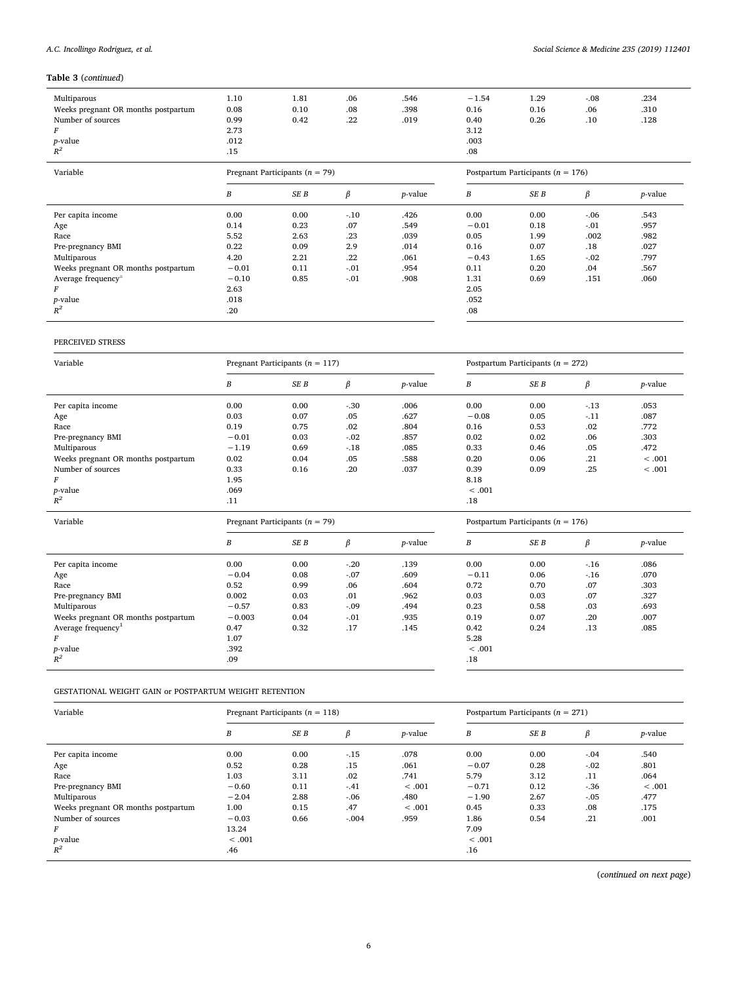### **Table 3** (*continued*)

| Multiparous<br>Weeks pregnant OR months postpartum | 1.10<br>0.08 | 1.81<br>0.10                       | .06<br>.08 | .546<br>.398    | $-1.54$<br>0.16                       | 1.29<br>0.16 | $-.08$<br>.06 | .234<br>.310    |  |
|----------------------------------------------------|--------------|------------------------------------|------------|-----------------|---------------------------------------|--------------|---------------|-----------------|--|
| Number of sources                                  | 0.99         | 0.42                               | .22        | .019            | 0.40                                  | 0.26         | .10           | .128            |  |
|                                                    | 2.73         |                                    |            |                 | 3.12                                  |              |               |                 |  |
| <i>p</i> -value                                    | .012         |                                    |            |                 | .003                                  |              |               |                 |  |
| $R^2$                                              | .15          |                                    |            |                 | .08                                   |              |               |                 |  |
| Variable                                           |              | Pregnant Participants ( $n = 79$ ) |            |                 | Postpartum Participants ( $n = 176$ ) |              |               |                 |  |
|                                                    | В            | SE B                               | ß          | <i>p</i> -value | В                                     | SE B         | ß             | <i>p</i> -value |  |
|                                                    |              |                                    |            |                 |                                       |              |               |                 |  |

| .07<br>.549<br>$-0.01$<br>0.18<br>$-.01$<br>.957<br>0.14<br>0.23<br>Age<br>.002<br>.039<br>.982<br>5.52<br>.23<br>0.05<br>1.99<br>2.63<br>Race<br>0.22<br>0.09<br>2.9<br>0.16<br>.18<br>.014<br>0.07<br>.027<br>Pre-pregnancy BMI<br>Multiparous<br>4.20<br>$-.02$<br>.22<br>.797<br>.061<br>2.21<br>$-0.43$<br>1.65<br>$-0.01$<br>Weeks pregnant OR months postpartum<br>.954<br>0.11<br>0.20<br>$-.01$<br>.567<br>0.11<br>.04<br>.908<br>$-0.10$<br>1.31<br>Average frequency <sup>a</sup><br>0.85<br>0.69<br>.151<br>.060<br>$-.01$<br>2.05<br>2.63<br>F<br>.052<br>.018<br><i>p</i> -value<br>.20<br>$R^2$<br>.08 | Per capita income | 0.00 | 0.00 | $-.10$ | .426 | 0.00 | 0.00 | $-06$ | .543 |  |
|-----------------------------------------------------------------------------------------------------------------------------------------------------------------------------------------------------------------------------------------------------------------------------------------------------------------------------------------------------------------------------------------------------------------------------------------------------------------------------------------------------------------------------------------------------------------------------------------------------------------------|-------------------|------|------|--------|------|------|------|-------|------|--|
|                                                                                                                                                                                                                                                                                                                                                                                                                                                                                                                                                                                                                       |                   |      |      |        |      |      |      |       |      |  |
|                                                                                                                                                                                                                                                                                                                                                                                                                                                                                                                                                                                                                       |                   |      |      |        |      |      |      |       |      |  |
|                                                                                                                                                                                                                                                                                                                                                                                                                                                                                                                                                                                                                       |                   |      |      |        |      |      |      |       |      |  |
|                                                                                                                                                                                                                                                                                                                                                                                                                                                                                                                                                                                                                       |                   |      |      |        |      |      |      |       |      |  |
|                                                                                                                                                                                                                                                                                                                                                                                                                                                                                                                                                                                                                       |                   |      |      |        |      |      |      |       |      |  |
|                                                                                                                                                                                                                                                                                                                                                                                                                                                                                                                                                                                                                       |                   |      |      |        |      |      |      |       |      |  |
|                                                                                                                                                                                                                                                                                                                                                                                                                                                                                                                                                                                                                       |                   |      |      |        |      |      |      |       |      |  |
|                                                                                                                                                                                                                                                                                                                                                                                                                                                                                                                                                                                                                       |                   |      |      |        |      |      |      |       |      |  |
|                                                                                                                                                                                                                                                                                                                                                                                                                                                                                                                                                                                                                       |                   |      |      |        |      |      |      |       |      |  |

### PERCEIVED STRESS

| Variable                            |                                    | Pregnant Participants ( $n = 117$ ) |        |                 | Postpartum Participants ( $n = 272$ ) |      |         |                 |
|-------------------------------------|------------------------------------|-------------------------------------|--------|-----------------|---------------------------------------|------|---------|-----------------|
|                                     | В                                  | SE B                                | β      | <i>p</i> -value | В                                     | SE B | β       | <i>p</i> -value |
| Per capita income                   | 0.00                               | 0.00                                | $-.30$ | .006            | 0.00                                  | 0.00 | $-13$   | .053            |
| Age                                 | 0.03                               | 0.07                                | .05    | .627            | $-0.08$                               | 0.05 | $-11$   | .087            |
| Race                                | 0.19                               | 0.75                                | .02    | .804            | 0.16                                  | 0.53 | .02     | .772            |
| Pre-pregnancy BMI                   | $-0.01$                            | 0.03                                | $-.02$ | .857            | 0.02                                  | 0.02 | .06     | .303            |
| Multiparous                         | $-1.19$                            | 0.69                                | $-18$  | .085            | 0.33                                  | 0.46 | .05     | .472            |
| Weeks pregnant OR months postpartum | 0.02                               | 0.04                                | .05    | .588            | 0.20                                  | 0.06 | .21     | < .001          |
| Number of sources                   | 0.33                               | 0.16                                | .20    | .037            | 0.39                                  | 0.09 | .25     | < .001          |
| F                                   | 1.95                               |                                     |        |                 | 8.18                                  |      |         |                 |
| p-value                             | .069                               |                                     |        |                 | < .001                                |      |         |                 |
| $R^2$                               | .11                                |                                     |        |                 | .18                                   |      |         |                 |
| Variable                            | Pregnant Participants ( $n = 79$ ) |                                     |        |                 | Postpartum Participants ( $n = 176$ ) |      |         |                 |
|                                     |                                    |                                     |        |                 |                                       |      |         |                 |
|                                     | В                                  | SE B                                | β      | <i>p</i> -value | $\boldsymbol{B}$                      | SE B | $\beta$ | <i>p</i> -value |
|                                     | 0.00                               | 0.00                                | $-.20$ | .139            | 0.00                                  | 0.00 | $-16$   | .086            |
| Per capita income                   | $-0.04$                            | 0.08                                | $-.07$ | .609            | $-0.11$                               | 0.06 | $-16$   | .070            |
| Age<br>Race                         | 0.52                               | 0.99                                | .06    | .604            | 0.72                                  | 0.70 | .07     | .303            |
| Pre-pregnancy BMI                   | 0.002                              | 0.03                                | .01    | .962            | 0.03                                  | 0.03 | .07     | .327            |
| Multiparous                         | $-0.57$                            | 0.83                                | $-.09$ | .494            | 0.23                                  | 0.58 | .03     | .693            |
| Weeks pregnant OR months postpartum | $-0.003$                           | 0.04                                | $-.01$ | .935            | 0.19                                  | 0.07 | .20     | .007            |
|                                     | 0.47                               | 0.32                                | .17    | .145            | 0.42                                  | 0.24 | .13     | .085            |
| Average frequency <sup>1</sup><br>F | 1.07                               |                                     |        |                 | 5.28                                  |      |         |                 |
| <i>p</i> -value                     | .392                               |                                     |        |                 | < .001                                |      |         |                 |

GESTATIONAL WEIGHT GAIN or POSTPARTUM WEIGHT RETENTION

| Variable                            | Pregnant Participants ( $n = 118$ ) |      |         |                 | Postpartum Participants ( $n = 271$ ) |      |        |                 |
|-------------------------------------|-------------------------------------|------|---------|-----------------|---------------------------------------|------|--------|-----------------|
|                                     | B                                   | SE B | β       | <i>p</i> -value | B                                     | SE B | β      | <i>p</i> -value |
| Per capita income                   | 0.00                                | 0.00 | $-15$   | .078            | 0.00                                  | 0.00 | $-.04$ | .540            |
| Age                                 | 0.52                                | 0.28 | .15     | .061            | $-0.07$                               | 0.28 | $-.02$ | .801            |
| Race                                | 1.03                                | 3.11 | .02     | .741            | 5.79                                  | 3.12 | .11    | .064            |
| Pre-pregnancy BMI                   | $-0.60$                             | 0.11 | $-.41$  | < .001          | $-0.71$                               | 0.12 | $-.36$ | < .001          |
| Multiparous                         | $-2.04$                             | 2.88 | $-.06$  | .480            | $-1.90$                               | 2.67 | $-.05$ | .477            |
| Weeks pregnant OR months postpartum | 1.00                                | 0.15 | .47     | < .001          | 0.45                                  | 0.33 | .08    | .175            |
| Number of sources                   | $-0.03$                             | 0.66 | $-.004$ | .959            | 1.86                                  | 0.54 | .21    | .001            |
| F                                   | 13.24                               |      |         |                 | 7.09                                  |      |        |                 |
| <i>p</i> -value                     | < .001                              |      |         |                 | < .001                                |      |        |                 |
| $R^2$                               | .46                                 |      |         |                 | .16                                   |      |        |                 |

(*continued on next page*)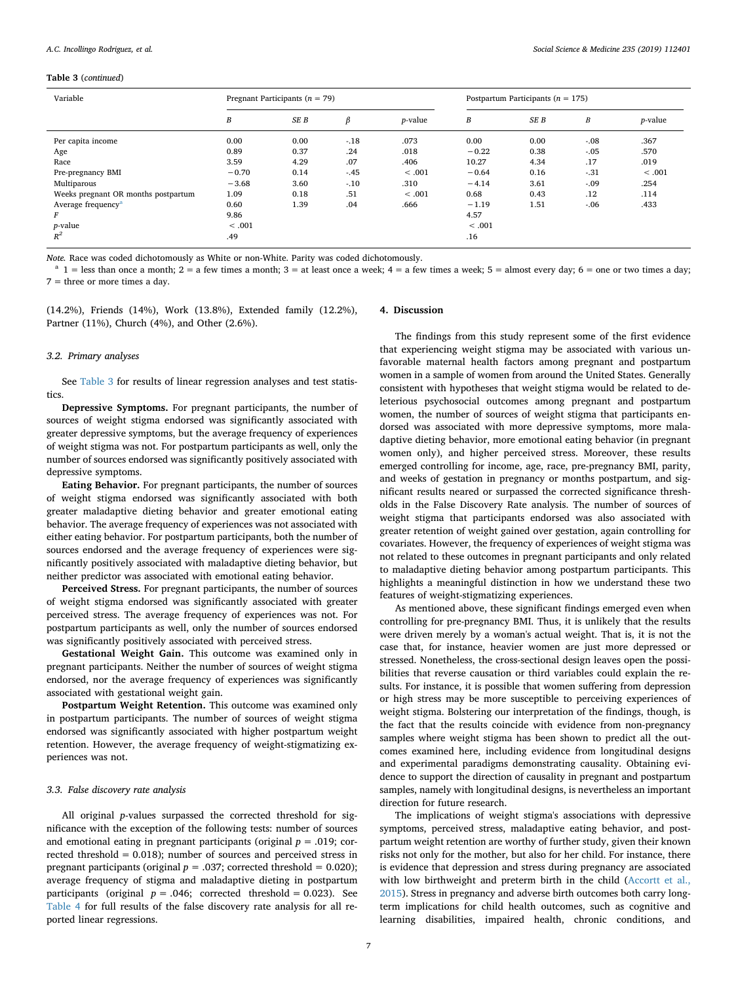#### *A.C. Incollingo Rodriguez, et al. Social Science & Medicine 235 (2019) 112401*

#### **Table 3** (*continued*)

| Variable                            | Pregnant Participants ( $n = 79$ ) |      |        |                 | Postpartum Participants ( $n = 175$ ) |      |         |                 |
|-------------------------------------|------------------------------------|------|--------|-----------------|---------------------------------------|------|---------|-----------------|
|                                     | B                                  | SE B | β      | <i>p</i> -value | B                                     | SE B | B       | <i>p</i> -value |
| Per capita income                   | 0.00                               | 0.00 | $-.18$ | .073            | 0.00                                  | 0.00 | $-.08$  | .367            |
| Age                                 | 0.89                               | 0.37 | .24    | .018            | $-0.22$                               | 0.38 | $-.05$  | .570            |
| Race                                | 3.59                               | 4.29 | .07    | .406            | 10.27                                 | 4.34 | .17     | .019            |
| Pre-pregnancy BMI                   | $-0.70$                            | 0.14 | $-.45$ | < .001          | $-0.64$                               | 0.16 | $-31$   | < .001          |
| Multiparous                         | $-3.68$                            | 3.60 | $-.10$ | .310            | $-4.14$                               | 3.61 | $-.09$  | .254            |
| Weeks pregnant OR months postpartum | 1.09                               | 0.18 | .51    | < .001          | 0.68                                  | 0.43 | $.12\,$ | .114            |
| Average frequency <sup>a</sup>      | 0.60                               | 1.39 | .04    | .666            | $-1.19$                               | 1.51 | $-.06$  | .433            |
| F                                   | 9.86                               |      |        |                 | 4.57                                  |      |         |                 |
| <i>p</i> -value                     | < .001                             |      |        |                 | < .001                                |      |         |                 |
| $R^2$                               | .49                                |      |        |                 | .16                                   |      |         |                 |

*Note.* Race was coded dichotomously as White or non-White. Parity was coded dichotomously.

<span id="page-6-0"></span> $a$  1 = less than once a month; 2 = a few times a month; 3 = at least once a week; 4 = a few times a week; 5 = almost every day; 6 = one or two times a day;  $7 =$  three or more times a day.

(14.2%), Friends (14%), Work (13.8%), Extended family (12.2%),

Partner (11%), Church (4%), and Other (2.6%).

#### *3.2. Primary analyses*

See [Table 3](#page-4-0) for results of linear regression analyses and test statistics.

**Depressive Symptoms.** For pregnant participants, the number of sources of weight stigma endorsed was significantly associated with greater depressive symptoms, but the average frequency of experiences of weight stigma was not. For postpartum participants as well, only the number of sources endorsed was significantly positively associated with depressive symptoms.

**Eating Behavior.** For pregnant participants, the number of sources of weight stigma endorsed was significantly associated with both greater maladaptive dieting behavior and greater emotional eating behavior. The average frequency of experiences was not associated with either eating behavior. For postpartum participants, both the number of sources endorsed and the average frequency of experiences were significantly positively associated with maladaptive dieting behavior, but neither predictor was associated with emotional eating behavior.

**Perceived Stress.** For pregnant participants, the number of sources of weight stigma endorsed was significantly associated with greater perceived stress. The average frequency of experiences was not. For postpartum participants as well, only the number of sources endorsed was significantly positively associated with perceived stress.

**Gestational Weight Gain.** This outcome was examined only in pregnant participants. Neither the number of sources of weight stigma endorsed, nor the average frequency of experiences was significantly associated with gestational weight gain.

**Postpartum Weight Retention.** This outcome was examined only in postpartum participants. The number of sources of weight stigma endorsed was significantly associated with higher postpartum weight retention. However, the average frequency of weight-stigmatizing experiences was not.

#### *3.3. False discovery rate analysis*

All original *p*-values surpassed the corrected threshold for significance with the exception of the following tests: number of sources and emotional eating in pregnant participants (original  $p = .019$ ; corrected threshold  $= 0.018$ ; number of sources and perceived stress in pregnant participants (original  $p = .037$ ; corrected threshold = 0.020); average frequency of stigma and maladaptive dieting in postpartum participants (original  $p = .046$ ; corrected threshold = 0.023). See [Table 4](#page-7-0) for full results of the false discovery rate analysis for all reported linear regressions.

#### **4. Discussion**

The findings from this study represent some of the first evidence that experiencing weight stigma may be associated with various unfavorable maternal health factors among pregnant and postpartum women in a sample of women from around the United States. Generally consistent with hypotheses that weight stigma would be related to deleterious psychosocial outcomes among pregnant and postpartum women, the number of sources of weight stigma that participants endorsed was associated with more depressive symptoms, more maladaptive dieting behavior, more emotional eating behavior (in pregnant women only), and higher perceived stress. Moreover, these results emerged controlling for income, age, race, pre-pregnancy BMI, parity, and weeks of gestation in pregnancy or months postpartum, and significant results neared or surpassed the corrected significance thresholds in the False Discovery Rate analysis. The number of sources of weight stigma that participants endorsed was also associated with greater retention of weight gained over gestation, again controlling for covariates. However, the frequency of experiences of weight stigma was not related to these outcomes in pregnant participants and only related to maladaptive dieting behavior among postpartum participants. This highlights a meaningful distinction in how we understand these two features of weight-stigmatizing experiences.

As mentioned above, these significant findings emerged even when controlling for pre-pregnancy BMI. Thus, it is unlikely that the results were driven merely by a woman's actual weight. That is, it is not the case that, for instance, heavier women are just more depressed or stressed. Nonetheless, the cross-sectional design leaves open the possibilities that reverse causation or third variables could explain the results. For instance, it is possible that women suffering from depression or high stress may be more susceptible to perceiving experiences of weight stigma. Bolstering our interpretation of the findings, though, is the fact that the results coincide with evidence from non-pregnancy samples where weight stigma has been shown to predict all the outcomes examined here, including evidence from longitudinal designs and experimental paradigms demonstrating causality. Obtaining evidence to support the direction of causality in pregnant and postpartum samples, namely with longitudinal designs, is nevertheless an important direction for future research.

The implications of weight stigma's associations with depressive symptoms, perceived stress, maladaptive eating behavior, and postpartum weight retention are worthy of further study, given their known risks not only for the mother, but also for her child. For instance, there is evidence that depression and stress during pregnancy are associated with low birthweight and preterm birth in the child [\(Accortt et al.,](#page-8-14) [2015\)](#page-8-14). Stress in pregnancy and adverse birth outcomes both carry longterm implications for child health outcomes, such as cognitive and learning disabilities, impaired health, chronic conditions, and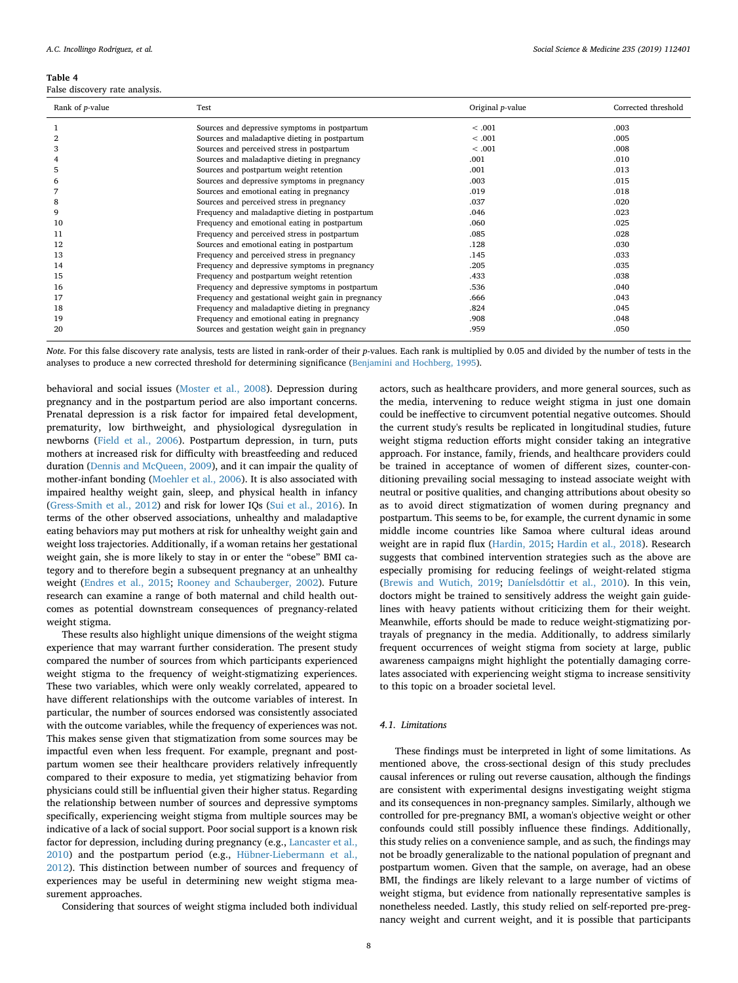#### <span id="page-7-0"></span>**Table 4**

False discovery rate analysis.

| Rank of <i>p</i> -value | Test                                               | Original <i>p</i> -value | Corrected threshold |
|-------------------------|----------------------------------------------------|--------------------------|---------------------|
|                         | Sources and depressive symptoms in postpartum      | < .001                   | .003                |
| $\boldsymbol{2}$        | Sources and maladaptive dieting in postpartum      | < .001                   | .005                |
| 3                       | Sources and perceived stress in postpartum         | < .001                   | .008                |
| 4                       | Sources and maladaptive dieting in pregnancy       | .001                     | .010                |
| 5                       | Sources and postpartum weight retention            | .001                     | .013                |
| 6                       | Sources and depressive symptoms in pregnancy       | .003                     | .015                |
|                         | Sources and emotional eating in pregnancy          | .019                     | .018                |
| 8                       | Sources and perceived stress in pregnancy          | .037                     | .020                |
| 9                       | Frequency and maladaptive dieting in postpartum    | .046                     | .023                |
| 10                      | Frequency and emotional eating in postpartum       | .060                     | .025                |
| 11                      | Frequency and perceived stress in postpartum       | .085                     | .028                |
| 12                      | Sources and emotional eating in postpartum         | .128                     | .030                |
| 13                      | Frequency and perceived stress in pregnancy        | .145                     | .033                |
| 14                      | Frequency and depressive symptoms in pregnancy     | .205                     | .035                |
| 15                      | Frequency and postpartum weight retention          | .433                     | .038                |
| 16                      | Frequency and depressive symptoms in postpartum    | .536                     | .040                |
| 17                      | Frequency and gestational weight gain in pregnancy | .666                     | .043                |
| 18                      | Frequency and maladaptive dieting in pregnancy     | .824                     | .045                |
| 19                      | Frequency and emotional eating in pregnancy        | .908                     | .048                |
| 20                      | Sources and gestation weight gain in pregnancy     | .959                     | .050                |

*Note*. For this false discovery rate analysis, tests are listed in rank-order of their *p*-values. Each rank is multiplied by 0.05 and divided by the number of tests in the analyses to produce a new corrected threshold for determining significance [\(Benjamini and Hochberg, 1995](#page-8-29)).

behavioral and social issues [\(Moster et al., 2008\)](#page-9-30). Depression during pregnancy and in the postpartum period are also important concerns. Prenatal depression is a risk factor for impaired fetal development, prematurity, low birthweight, and physiological dysregulation in newborns ([Field et al., 2006](#page-8-16)). Postpartum depression, in turn, puts mothers at increased risk for difficulty with breastfeeding and reduced duration [\(Dennis and McQueen, 2009\)](#page-8-15), and it can impair the quality of mother-infant bonding [\(Moehler et al., 2006\)](#page-9-12). It is also associated with impaired healthy weight gain, sleep, and physical health in infancy ([Gress-Smith et al., 2012\)](#page-8-17) and risk for lower IQs [\(Sui et al., 2016](#page-9-13)). In terms of the other observed associations, unhealthy and maladaptive eating behaviors may put mothers at risk for unhealthy weight gain and weight loss trajectories. Additionally, if a woman retains her gestational weight gain, she is more likely to stay in or enter the "obese" BMI category and to therefore begin a subsequent pregnancy at an unhealthy weight [\(Endres et al., 2015;](#page-8-10) [Rooney and Schauberger, 2002\)](#page-9-9). Future research can examine a range of both maternal and child health outcomes as potential downstream consequences of pregnancy-related weight stigma.

These results also highlight unique dimensions of the weight stigma experience that may warrant further consideration. The present study compared the number of sources from which participants experienced weight stigma to the frequency of weight-stigmatizing experiences. These two variables, which were only weakly correlated, appeared to have different relationships with the outcome variables of interest. In particular, the number of sources endorsed was consistently associated with the outcome variables, while the frequency of experiences was not. This makes sense given that stigmatization from some sources may be impactful even when less frequent. For example, pregnant and postpartum women see their healthcare providers relatively infrequently compared to their exposure to media, yet stigmatizing behavior from physicians could still be influential given their higher status. Regarding the relationship between number of sources and depressive symptoms specifically, experiencing weight stigma from multiple sources may be indicative of a lack of social support. Poor social support is a known risk factor for depression, including during pregnancy (e.g., [Lancaster et al.,](#page-8-30) [2010\)](#page-8-30) and the postpartum period (e.g., [Hübner-Liebermann et al.,](#page-8-31) [2012\)](#page-8-31). This distinction between number of sources and frequency of experiences may be useful in determining new weight stigma measurement approaches.

Considering that sources of weight stigma included both individual

actors, such as healthcare providers, and more general sources, such as the media, intervening to reduce weight stigma in just one domain could be ineffective to circumvent potential negative outcomes. Should the current study's results be replicated in longitudinal studies, future weight stigma reduction efforts might consider taking an integrative approach. For instance, family, friends, and healthcare providers could be trained in acceptance of women of different sizes, counter-conditioning prevailing social messaging to instead associate weight with neutral or positive qualities, and changing attributions about obesity so as to avoid direct stigmatization of women during pregnancy and postpartum. This seems to be, for example, the current dynamic in some middle income countries like Samoa where cultural ideas around weight are in rapid flux [\(Hardin, 2015;](#page-8-32) [Hardin et al., 2018](#page-8-33)). Research suggests that combined intervention strategies such as the above are especially promising for reducing feelings of weight-related stigma ([Brewis and Wutich, 2019;](#page-8-34) [Daníelsdóttir et al., 2010](#page-8-35)). In this vein, doctors might be trained to sensitively address the weight gain guidelines with heavy patients without criticizing them for their weight. Meanwhile, efforts should be made to reduce weight-stigmatizing portrayals of pregnancy in the media. Additionally, to address similarly frequent occurrences of weight stigma from society at large, public awareness campaigns might highlight the potentially damaging correlates associated with experiencing weight stigma to increase sensitivity to this topic on a broader societal level.

#### *4.1. Limitations*

These findings must be interpreted in light of some limitations. As mentioned above, the cross-sectional design of this study precludes causal inferences or ruling out reverse causation, although the findings are consistent with experimental designs investigating weight stigma and its consequences in non-pregnancy samples. Similarly, although we controlled for pre-pregnancy BMI, a woman's objective weight or other confounds could still possibly influence these findings. Additionally, this study relies on a convenience sample, and as such, the findings may not be broadly generalizable to the national population of pregnant and postpartum women. Given that the sample, on average, had an obese BMI, the findings are likely relevant to a large number of victims of weight stigma, but evidence from nationally representative samples is nonetheless needed. Lastly, this study relied on self-reported pre-pregnancy weight and current weight, and it is possible that participants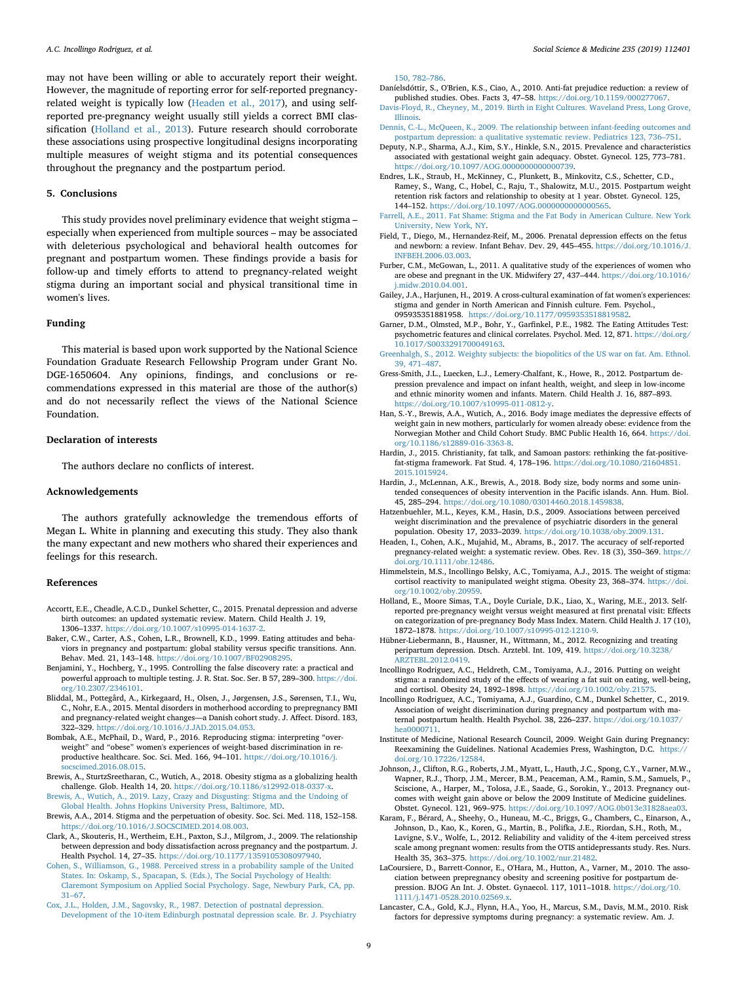may not have been willing or able to accurately report their weight. However, the magnitude of reporting error for self-reported pregnancyrelated weight is typically low ([Headen et al., 2017](#page-8-36)), and using selfreported pre-pregnancy weight usually still yields a correct BMI classification ([Holland et al., 2013](#page-8-37)). Future research should corroborate these associations using prospective longitudinal designs incorporating multiple measures of weight stigma and its potential consequences throughout the pregnancy and the postpartum period.

#### **5. Conclusions**

This study provides novel preliminary evidence that weight stigma – especially when experienced from multiple sources – may be associated with deleterious psychological and behavioral health outcomes for pregnant and postpartum women. These findings provide a basis for follow-up and timely efforts to attend to pregnancy-related weight stigma during an important social and physical transitional time in women's lives.

#### **Funding**

This material is based upon work supported by the National Science Foundation Graduate Research Fellowship Program under Grant No. DGE-1650604. Any opinions, findings, and conclusions or recommendations expressed in this material are those of the author(s) and do not necessarily reflect the views of the National Science Foundation.

#### **Declaration of interests**

The authors declare no conflicts of interest.

#### **Acknowledgements**

The authors gratefully acknowledge the tremendous efforts of Megan L. White in planning and executing this study. They also thank the many expectant and new mothers who shared their experiences and feelings for this research.

#### **References**

- <span id="page-8-14"></span>Accortt, E.E., Cheadle, A.C.D., Dunkel Schetter, C., 2015. Prenatal depression and adverse birth outcomes: an updated systematic review. Matern. Child Health J. 19, 1306–1337. <https://doi.org/10.1007/s10995-014-1637-2>.
- <span id="page-8-26"></span>Baker, C.W., Carter, A.S., Cohen, L.R., Brownell, K.D., 1999. Eating attitudes and behaviors in pregnancy and postpartum: global stability versus specific transitions. Ann. Behav. Med. 21, 143–148. <https://doi.org/10.1007/BF02908295>.
- <span id="page-8-29"></span>Benjamini, Y., Hochberg, Y., 1995. Controlling the false discovery rate: a practical and powerful approach to multiple testing. J. R. Stat. Soc. Ser. B 57, 289–300. [https://doi.](https://doi.org/10.2307/2346101) [org/10.2307/2346101.](https://doi.org/10.2307/2346101)
- <span id="page-8-11"></span>Bliddal, M., Pottegård, A., Kirkegaard, H., Olsen, J., Jørgensen, J.S., Sørensen, T.I., Wu, C., Nohr, E.A., 2015. Mental disorders in motherhood according to prepregnancy BMI and pregnancy-related weight changes—a Danish cohort study. J. Affect. Disord. 183, 322–329. <https://doi.org/10.1016/J.JAD.2015.04.053>.
- <span id="page-8-21"></span>Bombak, A.E., McPhail, D., Ward, P., 2016. Reproducing stigma: interpreting "overweight" and "obese" women's experiences of weight-based discrimination in reproductive healthcare. Soc. Sci. Med. 166, 94–101. [https://doi.org/10.1016/j.](https://doi.org/10.1016/j.socscimed.2016.08.015) [socscimed.2016.08.015.](https://doi.org/10.1016/j.socscimed.2016.08.015)
- <span id="page-8-0"></span>Brewis, A., SturtzSreetharan, C., Wutich, A., 2018. Obesity stigma as a globalizing health challenge. Glob. Health 14, 20. <https://doi.org/10.1186/s12992-018-0337-x>.
- <span id="page-8-34"></span>[Brewis, A., Wutich, A., 2019. Lazy, Crazy and Disgusting: Stigma and the Undoing of](http://refhub.elsevier.com/S0277-9536(19)30387-9/sref7) [Global Health. Johns Hopkins University Press, Baltimore, MD.](http://refhub.elsevier.com/S0277-9536(19)30387-9/sref7)
- <span id="page-8-3"></span>Brewis, A.A., 2014. Stigma and the perpetuation of obesity. Soc. Sci. Med. 118, 152–158. <https://doi.org/10.1016/J.SOCSCIMED.2014.08.003>.
- <span id="page-8-19"></span>Clark, A., Skouteris, H., Wertheim, E.H., Paxton, S.J., Milgrom, J., 2009. The relationship between depression and body dissatisfaction across pregnancy and the postpartum. J. Health Psychol. 14, 27–35. [https://doi.org/10.1177/1359105308097940.](https://doi.org/10.1177/1359105308097940)
- <span id="page-8-27"></span>[Cohen, S., Williamson, G., 1988. Perceived stress in a probability sample of the United](http://refhub.elsevier.com/S0277-9536(19)30387-9/sref10) [States. In: Oskamp, S., Spacapan, S. \(Eds.\), The Social Psychology of Health:](http://refhub.elsevier.com/S0277-9536(19)30387-9/sref10) [Claremont Symposium on Applied Social Psychology. Sage, Newbury Park, CA, pp.](http://refhub.elsevier.com/S0277-9536(19)30387-9/sref10) [31–67](http://refhub.elsevier.com/S0277-9536(19)30387-9/sref10).
- <span id="page-8-24"></span>[Cox, J.L., Holden, J.M., Sagovsky, R., 1987. Detection of postnatal depression.](http://refhub.elsevier.com/S0277-9536(19)30387-9/sref11) [Development of the 10-item Edinburgh postnatal depression scale. Br. J. Psychiatry](http://refhub.elsevier.com/S0277-9536(19)30387-9/sref11)

[150, 782–786.](http://refhub.elsevier.com/S0277-9536(19)30387-9/sref11)

- <span id="page-8-35"></span>Daníelsdóttir, S., O'Brien, K.S., Ciao, A., 2010. Anti-fat prejudice reduction: a review of published studies. Obes. Facts 3, 47–58. [https://doi.org/10.1159/000277067.](https://doi.org/10.1159/000277067)
- <span id="page-8-18"></span>[Davis-Floyd, R., Cheyney, M., 2019. Birth in Eight Cultures. Waveland Press, Long Grove,](http://refhub.elsevier.com/S0277-9536(19)30387-9/sref13) [Illinois.](http://refhub.elsevier.com/S0277-9536(19)30387-9/sref13)
- <span id="page-8-15"></span>[Dennis, C.-L., McQueen, K., 2009. The relationship between infant-feeding outcomes and](http://refhub.elsevier.com/S0277-9536(19)30387-9/sref14) [postpartum depression: a qualitative systematic review. Pediatrics 123, 736–751](http://refhub.elsevier.com/S0277-9536(19)30387-9/sref14).
- <span id="page-8-7"></span>Deputy, N.P., Sharma, A.J., Kim, S.Y., Hinkle, S.N., 2015. Prevalence and characteristics associated with gestational weight gain adequacy. Obstet. Gynecol. 125, 773–781. [https://doi.org/10.1097/AOG.0000000000000739.](https://doi.org/10.1097/AOG.0000000000000739)
- <span id="page-8-10"></span>Endres, L.K., Straub, H., McKinney, C., Plunkett, B., Minkovitz, C.S., Schetter, C.D., Ramey, S., Wang, C., Hobel, C., Raju, T., Shalowitz, M.U., 2015. Postpartum weight retention risk factors and relationship to obesity at 1 year. Obstet. Gynecol. 125, 144–152. [https://doi.org/10.1097/AOG.0000000000000565.](https://doi.org/10.1097/AOG.0000000000000565)
- <span id="page-8-1"></span>[Farrell, A.E., 2011. Fat Shame: Stigma and the Fat Body in American Culture. New York](http://refhub.elsevier.com/S0277-9536(19)30387-9/sref17) [University, New York, NY](http://refhub.elsevier.com/S0277-9536(19)30387-9/sref17).
- <span id="page-8-16"></span>Field, T., Diego, M., Hernandez-Reif, M., 2006. Prenatal depression effects on the fetus and newborn: a review. Infant Behav. Dev. 29, 445–455. [https://doi.org/10.1016/J.](https://doi.org/10.1016/J.INFBEH.2006.03.003) [INFBEH.2006.03.003.](https://doi.org/10.1016/J.INFBEH.2006.03.003)
- <span id="page-8-20"></span>Furber, C.M., McGowan, L., 2011. A qualitative study of the experiences of women who are obese and pregnant in the UK. Midwifery 27, 437–444. [https://doi.org/10.1016/](https://doi.org/10.1016/j.midw.2010.04.001) [j.midw.2010.04.001.](https://doi.org/10.1016/j.midw.2010.04.001)
- <span id="page-8-2"></span>Gailey, J.A., Harjunen, H., 2019. A cross-cultural examination of fat women's experiences: stigma and gender in North American and Finnish culture. Fem. Psychol., 095935351881958. [https://doi.org/10.1177/0959353518819582.](https://doi.org/10.1177/0959353518819582)
- <span id="page-8-25"></span>Garner, D.M., Olmsted, M.P., Bohr, Y., Garfinkel, P.E., 1982. The Eating Attitudes Test: psychometric features and clinical correlates. Psychol. Med. 12, 871. [https://doi.org/](https://doi.org/10.1017/S0033291700049163) [10.1017/S0033291700049163.](https://doi.org/10.1017/S0033291700049163)
- <span id="page-8-23"></span>[Greenhalgh, S., 2012. Weighty subjects: the biopolitics of the US war on fat. Am. Ethnol.](http://refhub.elsevier.com/S0277-9536(19)30387-9/sref22) [39, 471–487](http://refhub.elsevier.com/S0277-9536(19)30387-9/sref22).
- <span id="page-8-17"></span>Gress-Smith, J.L., Luecken, L.J., Lemery-Chalfant, K., Howe, R., 2012. Postpartum depression prevalence and impact on infant health, weight, and sleep in low-income and ethnic minority women and infants. Matern. Child Health J. 16, 887–893. <https://doi.org/10.1007/s10995-011-0812-y>.
- <span id="page-8-13"></span>Han, S.-Y., Brewis, A.A., Wutich, A., 2016. Body image mediates the depressive effects of weight gain in new mothers, particularly for women already obese: evidence from the Norwegian Mother and Child Cohort Study. BMC Public Health 16, 664. [https://doi.](https://doi.org/10.1186/s12889-016-3363-8) [org/10.1186/s12889-016-3363-8.](https://doi.org/10.1186/s12889-016-3363-8)
- <span id="page-8-32"></span>Hardin, J., 2015. Christianity, fat talk, and Samoan pastors: rethinking the fat-positivefat-stigma framework. Fat Stud. 4, 178–196. [https://doi.org/10.1080/21604851.](https://doi.org/10.1080/21604851.2015.1015924) [2015.1015924.](https://doi.org/10.1080/21604851.2015.1015924)
- <span id="page-8-33"></span>Hardin, J., McLennan, A.K., Brewis, A., 2018. Body size, body norms and some unintended consequences of obesity intervention in the Pacific islands. Ann. Hum. Biol. 45, 285–294. [https://doi.org/10.1080/03014460.2018.1459838.](https://doi.org/10.1080/03014460.2018.1459838)
- <span id="page-8-4"></span>Hatzenbuehler, M.L., Keyes, K.M., Hasin, D.S., 2009. Associations between perceived weight discrimination and the prevalence of psychiatric disorders in the general population. Obesity 17, 2033–2039. <https://doi.org/10.1038/oby.2009.131>.
- <span id="page-8-36"></span>Headen, I., Cohen, A.K., Mujahid, M., Abrams, B., 2017. The accuracy of self-reported pregnancy-related weight: a systematic review. Obes. Rev. 18 (3), 350–369. [https://](https://doi.org/10.1111/obr.12486) [doi.org/10.1111/obr.12486](https://doi.org/10.1111/obr.12486).
- <span id="page-8-6"></span>Himmelstein, M.S., Incollingo Belsky, A.C., Tomiyama, A.J., 2015. The weight of stigma: cortisol reactivity to manipulated weight stigma. Obesity 23, 368–374. [https://doi.](https://doi.org/10.1002/oby.20959) [org/10.1002/oby.20959.](https://doi.org/10.1002/oby.20959)
- <span id="page-8-37"></span>Holland, E., Moore Simas, T.A., Doyle Curiale, D.K., Liao, X., Waring, M.E., 2013. Selfreported pre-pregnancy weight versus weight measured at first prenatal visit: Effects on categorization of pre-pregnancy Body Mass Index. Matern. Child Health J. 17 (10), 1872–1878. <https://doi.org/10.1007/s10995-012-1210-9>.
- <span id="page-8-31"></span>Hübner-Liebermann, B., Hausner, H., Wittmann, M., 2012. Recognizing and treating peripartum depression. Dtsch. Arztebl. Int. 109, 419. [https://doi.org/10.3238/](https://doi.org/10.3238/ARZTEBL.2012.0419) [ARZTEBL.2012.0419.](https://doi.org/10.3238/ARZTEBL.2012.0419)
- <span id="page-8-5"></span>Incollingo Rodriguez, A.C., Heldreth, C.M., Tomiyama, A.J., 2016. Putting on weight stigma: a randomized study of the effects of wearing a fat suit on eating, well-being, and cortisol. Obesity 24, 1892–1898. <https://doi.org/10.1002/oby.21575>.
- <span id="page-8-22"></span>Incollingo Rodriguez, A.C., Tomiyama, A.J., Guardino, C.M., Dunkel Schetter, C., 2019. Association of weight discrimination during pregnancy and postpartum with maternal postpartum health. Health Psychol. 38, 226–237. [https://doi.org/10.1037/](https://doi.org/10.1037/hea0000711) [hea0000711.](https://doi.org/10.1037/hea0000711)
- <span id="page-8-8"></span>Institute of Medicine, National Research Council, 2009. Weight Gain during Pregnancy: Reexamining the Guidelines. National Academies Press, Washington, D.C. [https://](https://doi.org/10.17226/12584) [doi.org/10.17226/12584.](https://doi.org/10.17226/12584)
- <span id="page-8-9"></span>Johnson, J., Clifton, R.G., Roberts, J.M., Myatt, L., Hauth, J.C., Spong, C.Y., Varner, M.W., Wapner, R.J., Thorp, J.M., Mercer, B.M., Peaceman, A.M., Ramin, S.M., Samuels, P., Sciscione, A., Harper, M., Tolosa, J.E., Saade, G., Sorokin, Y., 2013. Pregnancy outcomes with weight gain above or below the 2009 Institute of Medicine guidelines. Obstet. Gynecol. 121, 969–975. <https://doi.org/10.1097/AOG.0b013e31828aea03>.
- <span id="page-8-28"></span>Karam, F., Bérard, A., Sheehy, O., Huneau, M.-C., Briggs, G., Chambers, C., Einarson, A., Johnson, D., Kao, K., Koren, G., Martin, B., Polifka, J.E., Riordan, S.H., Roth, M., Lavigne, S.V., Wolfe, L., 2012. Reliability and validity of the 4-item perceived stress scale among pregnant women: results from the OTIS antidepressants study. Res. Nurs. Health 35, 363–375. <https://doi.org/10.1002/nur.21482>.
- <span id="page-8-12"></span>LaCoursiere, D., Barrett-Connor, E., O'Hara, M., Hutton, A., Varner, M., 2010. The association between prepregnancy obesity and screening positive for postpartum depression. BJOG An Int. J. Obstet. Gynaecol. 117, 1011–1018. [https://doi.org/10.](https://doi.org/10.1111/j.1471-0528.2010.02569.x) [1111/j.1471-0528.2010.02569.x](https://doi.org/10.1111/j.1471-0528.2010.02569.x).
- <span id="page-8-30"></span>Lancaster, C.A., Gold, K.J., Flynn, H.A., Yoo, H., Marcus, S.M., Davis, M.M., 2010. Risk factors for depressive symptoms during pregnancy: a systematic review. Am. J.